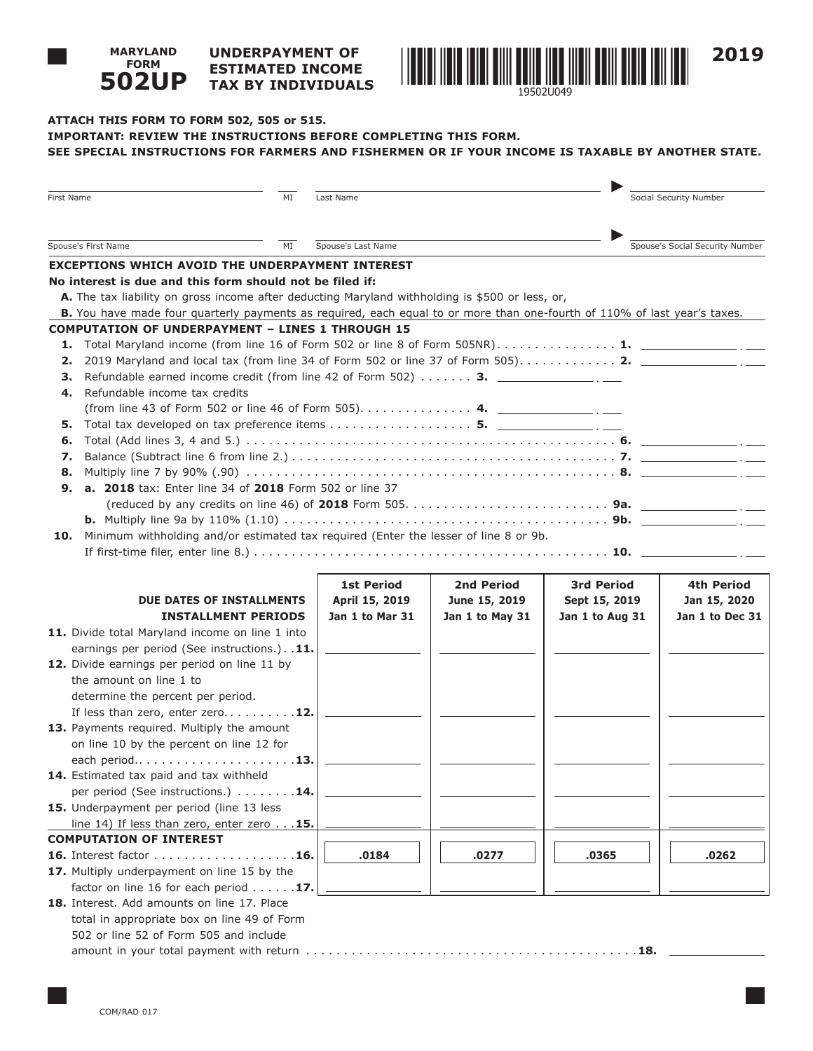#### **UNDERPAYMENT OF ESTIMATED INCOME TAX BY INDIVIDUALS 502UP**



# **ATTACH THIS FORM TO FORM 502, 505 or 515. IMPORTANT: REVIEW THE INSTRUCTIONS BEFORE COMPLETING THIS FORM.**

| First Name                                                                                                                                                                                                                                                                                                                                                                                                                                                                                                                                                                                                                                                                                                                                                                                                                                                                                                                                                              | MI | Last Name          |                 |                   | Social Security Number          |  |
|-------------------------------------------------------------------------------------------------------------------------------------------------------------------------------------------------------------------------------------------------------------------------------------------------------------------------------------------------------------------------------------------------------------------------------------------------------------------------------------------------------------------------------------------------------------------------------------------------------------------------------------------------------------------------------------------------------------------------------------------------------------------------------------------------------------------------------------------------------------------------------------------------------------------------------------------------------------------------|----|--------------------|-----------------|-------------------|---------------------------------|--|
| Spouse's First Name<br>MI                                                                                                                                                                                                                                                                                                                                                                                                                                                                                                                                                                                                                                                                                                                                                                                                                                                                                                                                               |    | Spouse's Last Name |                 |                   | Spouse's Social Security Number |  |
| <b>EXCEPTIONS WHICH AVOID THE UNDERPAYMENT INTEREST</b>                                                                                                                                                                                                                                                                                                                                                                                                                                                                                                                                                                                                                                                                                                                                                                                                                                                                                                                 |    |                    |                 |                   |                                 |  |
| No interest is due and this form should not be filed if:<br>A. The tax liability on gross income after deducting Maryland withholding is \$500 or less, or,<br>B. You have made four quarterly payments as required, each equal to or more than one-fourth of 110% of last year's taxes.<br><b>COMPUTATION OF UNDERPAYMENT - LINES 1 THROUGH 15</b><br>1. Total Maryland income (from line 16 of Form 502 or line 8 of Form 505NR) 1. _________________.<br>2.<br>Refundable earned income credit (from line 42 of Form 502)  3. $\frac{1}{\sqrt{1-\frac{1}{2}}\cdot\frac{1}{\sqrt{1-\frac{1}{2}}}}$<br>З.<br>Refundable income tax credits<br>4.<br>(from line 43 of Form 502 or line 46 of Form 505) 4.<br>Total tax developed on tax preference items 5. $\frac{1}{\sqrt{2}}$<br>5.<br>6.<br>7.<br>8.<br>a. 2018 tax: Enter line 34 of 2018 Form 502 or line 37<br>9.<br>Minimum withholding and/or estimated tax required (Enter the lesser of line 8 or 9b.<br>10. |    |                    |                 |                   |                                 |  |
|                                                                                                                                                                                                                                                                                                                                                                                                                                                                                                                                                                                                                                                                                                                                                                                                                                                                                                                                                                         |    |                    |                 |                   |                                 |  |
|                                                                                                                                                                                                                                                                                                                                                                                                                                                                                                                                                                                                                                                                                                                                                                                                                                                                                                                                                                         |    | <b>1st Period</b>  | 2nd Period      | <b>3rd Period</b> | 4th Period                      |  |
| <b>DUE DATES OF INSTALLMENTS</b>                                                                                                                                                                                                                                                                                                                                                                                                                                                                                                                                                                                                                                                                                                                                                                                                                                                                                                                                        |    | April 15, 2019     | June 15, 2019   | Sept 15, 2019     | Jan 15, 2020                    |  |
| <b>INSTALLMENT PERIODS</b>                                                                                                                                                                                                                                                                                                                                                                                                                                                                                                                                                                                                                                                                                                                                                                                                                                                                                                                                              |    | Jan 1 to Mar 31    | Jan 1 to May 31 | Jan 1 to Aug 31   | Jan 1 to Dec 31                 |  |
| 11. Divide total Maryland income on line 1 into                                                                                                                                                                                                                                                                                                                                                                                                                                                                                                                                                                                                                                                                                                                                                                                                                                                                                                                         |    |                    |                 |                   |                                 |  |
| earnings per period (See instructions.). . 11.                                                                                                                                                                                                                                                                                                                                                                                                                                                                                                                                                                                                                                                                                                                                                                                                                                                                                                                          |    |                    |                 |                   |                                 |  |
| 12. Divide earnings per period on line 11 by<br>the amount on line 1 to                                                                                                                                                                                                                                                                                                                                                                                                                                                                                                                                                                                                                                                                                                                                                                                                                                                                                                 |    |                    |                 |                   |                                 |  |
|                                                                                                                                                                                                                                                                                                                                                                                                                                                                                                                                                                                                                                                                                                                                                                                                                                                                                                                                                                         |    |                    |                 |                   |                                 |  |
| determine the percent per period.<br>If less than zero, enter zero 12.                                                                                                                                                                                                                                                                                                                                                                                                                                                                                                                                                                                                                                                                                                                                                                                                                                                                                                  |    |                    |                 |                   |                                 |  |
| 13. Payments required. Multiply the amount                                                                                                                                                                                                                                                                                                                                                                                                                                                                                                                                                                                                                                                                                                                                                                                                                                                                                                                              |    |                    |                 |                   |                                 |  |
| on line 10 by the percent on line 12 for                                                                                                                                                                                                                                                                                                                                                                                                                                                                                                                                                                                                                                                                                                                                                                                                                                                                                                                                |    |                    |                 |                   |                                 |  |
|                                                                                                                                                                                                                                                                                                                                                                                                                                                                                                                                                                                                                                                                                                                                                                                                                                                                                                                                                                         |    |                    |                 |                   |                                 |  |
| 14. Estimated tax paid and tax withheld                                                                                                                                                                                                                                                                                                                                                                                                                                                                                                                                                                                                                                                                                                                                                                                                                                                                                                                                 |    |                    |                 |                   |                                 |  |
| per period (See instructions.) 14.                                                                                                                                                                                                                                                                                                                                                                                                                                                                                                                                                                                                                                                                                                                                                                                                                                                                                                                                      |    |                    |                 |                   |                                 |  |
| 15. Underpayment per period (line 13 less                                                                                                                                                                                                                                                                                                                                                                                                                                                                                                                                                                                                                                                                                                                                                                                                                                                                                                                               |    |                    |                 |                   |                                 |  |
| line 14) If less than zero, enter zero $\ldots$ 15.                                                                                                                                                                                                                                                                                                                                                                                                                                                                                                                                                                                                                                                                                                                                                                                                                                                                                                                     |    |                    |                 |                   |                                 |  |
| <b>COMPUTATION OF INTEREST</b>                                                                                                                                                                                                                                                                                                                                                                                                                                                                                                                                                                                                                                                                                                                                                                                                                                                                                                                                          |    |                    |                 |                   |                                 |  |
| 16. Interest factor 16.                                                                                                                                                                                                                                                                                                                                                                                                                                                                                                                                                                                                                                                                                                                                                                                                                                                                                                                                                 |    | .0184              | .0277           | .0365             | .0262                           |  |
| 17. Multiply underpayment on line 15 by the                                                                                                                                                                                                                                                                                                                                                                                                                                                                                                                                                                                                                                                                                                                                                                                                                                                                                                                             |    |                    |                 |                   |                                 |  |
| factor on line 16 for each period $\dots \dots$ 17.                                                                                                                                                                                                                                                                                                                                                                                                                                                                                                                                                                                                                                                                                                                                                                                                                                                                                                                     |    |                    |                 |                   |                                 |  |
| 18. Interest. Add amounts on line 17. Place                                                                                                                                                                                                                                                                                                                                                                                                                                                                                                                                                                                                                                                                                                                                                                                                                                                                                                                             |    |                    |                 |                   |                                 |  |
| total in appropriate box on line 49 of Form                                                                                                                                                                                                                                                                                                                                                                                                                                                                                                                                                                                                                                                                                                                                                                                                                                                                                                                             |    |                    |                 |                   |                                 |  |
| 502 or line 52 of Form 505 and include                                                                                                                                                                                                                                                                                                                                                                                                                                                                                                                                                                                                                                                                                                                                                                                                                                                                                                                                  |    |                    |                 |                   |                                 |  |
|                                                                                                                                                                                                                                                                                                                                                                                                                                                                                                                                                                                                                                                                                                                                                                                                                                                                                                                                                                         |    |                    |                 |                   |                                 |  |